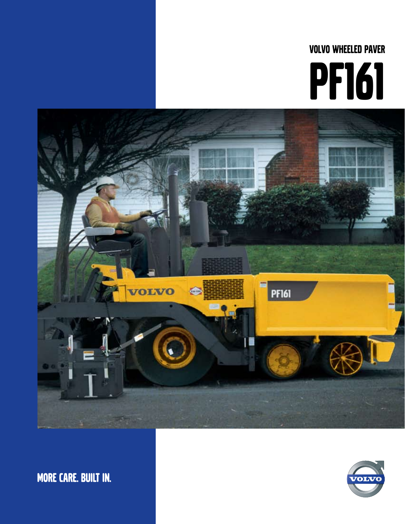# **VOLVO WHEELED PAVER PF161**



**MORE CARE. BUILT IN.** 

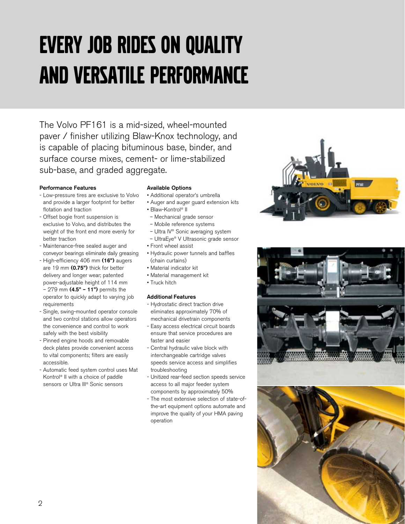## Every job rides on quality and versatile performance

The Volvo PF161 is a mid-sized, wheel-mounted paver / finisher utilizing Blaw-Knox technology, and is capable of placing bituminous base, binder, and surface course mixes, cement- or lime-stabilized sub-base, and graded aggregate.

#### **Performance Features**

- Low-pressure tires are exclusive to Volvo and provide a larger footprint for better flotation and traction
- Offset bogie front suspension is exclusive to Volvo, and distributes the weight of the front end more evenly for better traction
- Maintenance-free sealed auger and conveyor bearings eliminate daily greasing
- High-efficiency 406 mm **(16")** augers are 19 mm **(0.75")** thick for better delivery and longer wear; patented power-adjustable height of 114 mm – 279 mm **(4.5" – 11")** permits the operator to quickly adapt to varying job requirements
- Single, swing-mounted operator console and two control stations allow operators the convenience and control to work safely with the best visibility
- Pinned engine hoods and removable deck plates provide convenient access to vital components; filters are easily accessible.
- Automatic feed system control uses Mat Kontrol® II with a choice of paddle sensors or Ultra III® Sonic sensors

#### **Available Options**

- Additional operator's umbrella
- Auger and auger guard extension kits
- Blaw-Kontrol® II
- Mechanical grade sensor
- Mobile reference systems
- Ultra IV® Sonic averaging system
- UltraEye® V Ultrasonic grade sensor
- Front wheel assist
- Hydraulic power tunnels and baffles (chain curtains)
- Material indicator kit
- Material management kit
- Truck hitch

#### **Additional Features**

- Hydrostatic direct traction drive eliminates approximately 70% of mechanical drivetrain components
- Easy access electrical circuit boards ensure that service procedures are faster and easier
- Central hydraulic valve block with interchangeable cartridge valves speeds service access and simplifies troubleshooting
- Unitized rear-feed section speeds service access to all major feeder system components by approximately 50%
- The most extensive selection of state-ofthe-art equipment options automate and improve the quality of your HMA paving operation





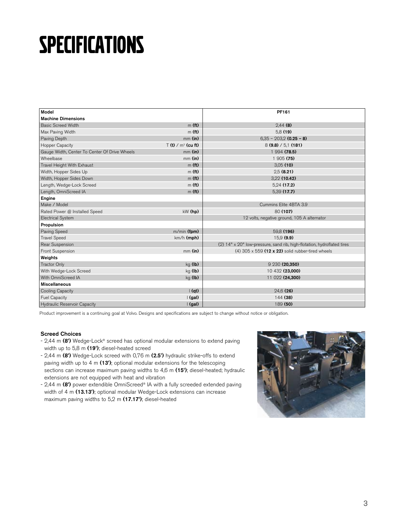### **SPECIFICATIONS**

| Model                                         |                                 | PF161                                                                   |
|-----------------------------------------------|---------------------------------|-------------------------------------------------------------------------|
| <b>Machine Dimensions</b>                     |                                 |                                                                         |
| <b>Basic Screed Width</b>                     | m(f <sub>t</sub> )              | $2,44$ (8)                                                              |
| Max Paving Width                              | m(f <sub>t</sub> )              | 5.8(19)                                                                 |
| Paving Depth                                  | $mm$ (in)                       | $6,35 - 203,2$ (0.25 - 8)                                               |
| Hopper Capacity                               | $T(t)$ / m <sup>3</sup> (cu ft) | 8(9.8) / 5.1(181)                                                       |
| Gauge Width, Center To Center Of Drive Wheels | $mm$ (in)                       | 1 994 (78.5)                                                            |
| Wheelbase                                     | $mm$ (in)                       | 1 905 (75)                                                              |
| Travel Height With Exhaust                    | m(f <sub>t</sub> )              | 3.05(10)                                                                |
| Width, Hopper Sides Up                        | m(f <sub>t</sub> )              | 2,5(8.21)                                                               |
| Width, Hopper Sides Down                      | m(f <sub>t</sub> )              | 3,22 (10.42)                                                            |
| Length, Wedge-Lock Screed                     | m(f <sub>t</sub> )              | 5,24(17.2)                                                              |
| Length, OmniScreed IA                         | m(f <sub>t</sub> )              | 5,39 (17.7)                                                             |
| Engine                                        |                                 |                                                                         |
| Make / Model                                  |                                 | Cummins Elite 4BTA 3.9                                                  |
| Rated Power @ Installed Speed                 | $kW$ (hp)                       | 80(107)                                                                 |
| <b>Electrical System</b>                      |                                 | 12 volts, negative ground, 105 A alternator                             |
| Propulsion                                    |                                 |                                                                         |
| Paving Speed                                  | m/min (fpm)                     | 59,8 (196)                                                              |
| <b>Travel Speed</b>                           | km/h (mph)                      | 15.9(9.9)                                                               |
| Rear Suspension                               |                                 | (2) 14" x 20" low-pressure, sand rib, high-flotation, hydroflated tires |
| Front Suspension                              | $mm$ (in)                       | (4) $305 \times 559$ (12 x 22) solid rubber-tired wheels                |
| Weights                                       |                                 |                                                                         |
| <b>Tractor Only</b>                           | $kg$ (lb)                       | 9 230 (20.350)                                                          |
| With Wedge-Lock Screed                        | $kg$ (lb)                       | 10 432 (23.000)                                                         |
| With OmniScreed IA                            | $kg$ (lb)                       | 11 022 (24,300)                                                         |
| <b>Miscellaneous</b>                          |                                 |                                                                         |
| Cooling Capacity                              | $\vert$ (qt)                    | 24.6(26)                                                                |
| <b>Fuel Capacity</b>                          | $\mid$ (gal)                    | 144 (38)                                                                |
| Hydraulic Reservoir Capacity                  | $\mid$ (gal)                    | 189 (50)                                                                |

Product improvement is a continuing goal at Volvo. Designs and specifications are subject to change without notice or obligation.

#### **Screed Choices**

- 2,44 m **(8')** Wedge-Lock® screed has optional modular extensions to extend paving width up to 5,8 m **(19')**; diesel-heated screed
- 2,44 m **(8')** Wedge-Lock screed with 0,76 m **(2.5')** hydraulic strike-offs to extend paving width up to 4 m **(13')**; optional modular extensions for the telescoping sections can increase maximum paving widths to 4,6 m **(15')**; diesel-heated; hydraulic extensions are not equipped with heat and vibration
- 2,44 m **(8')** power extendible OmniScreed® IA with a fully screeded extended paving width of 4 m **(13.13')**; optional modular Wedge-Lock extensions can increase maximum paving widths to 5,2 m **(17.17')**; diesel-heated